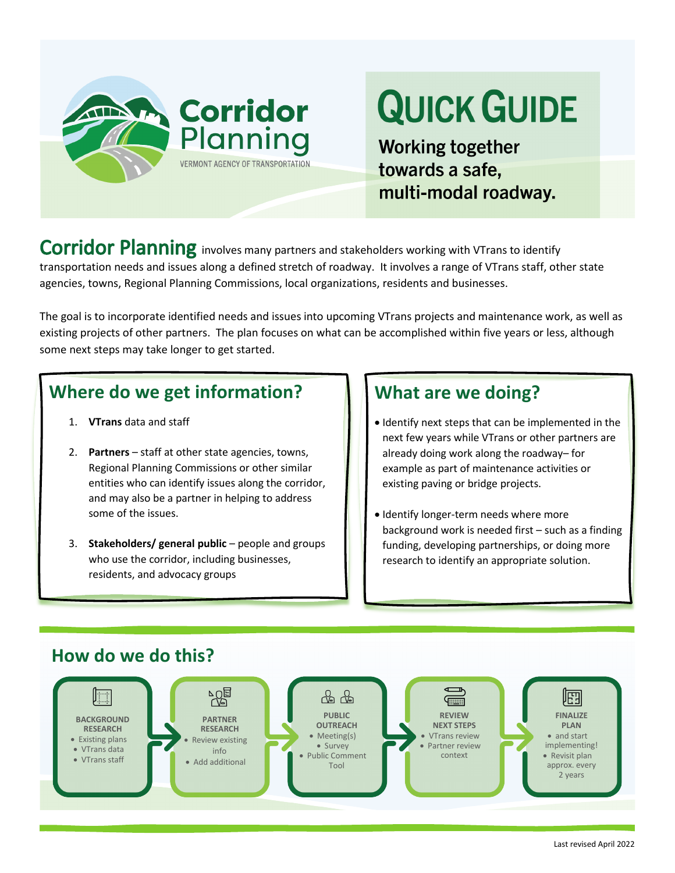

# **QUICK GUIDE**

**Working together** towards a safe, multi-modal roadway.

Corridor Planning involves many partners and stakeholders working with VTrans to identify transportation needs and issues along a defined stretch of roadway. It involves a range of VTrans staff, other state agencies, towns, Regional Planning Commissions, local organizations, residents and businesses.

The goal is to incorporate identified needs and issues into upcoming VTrans projects and maintenance work, as well as existing projects of other partners. The plan focuses on what can be accomplished within five years or less, although some next steps may take longer to get started.

## **Where do we get information?**

- 1. **VTrans** data and staff
- 2. **Partners** staff at other state agencies, towns, Regional Planning Commissions or other similar entities who can identify issues along the corridor, and may also be a partner in helping to address some of the issues.
- 3. **Stakeholders/ general public** people and groups who use the corridor, including businesses, residents, and advocacy groups

### **What are we doing?**

- Identify next steps that can be implemented in the next few years while VTrans or other partners are already doing work along the roadway– for example as part of maintenance activities or existing paving or bridge projects.
- Identify longer-term needs where more background work is needed first – such as a finding funding, developing partnerships, or doing more research to identify an appropriate solution.